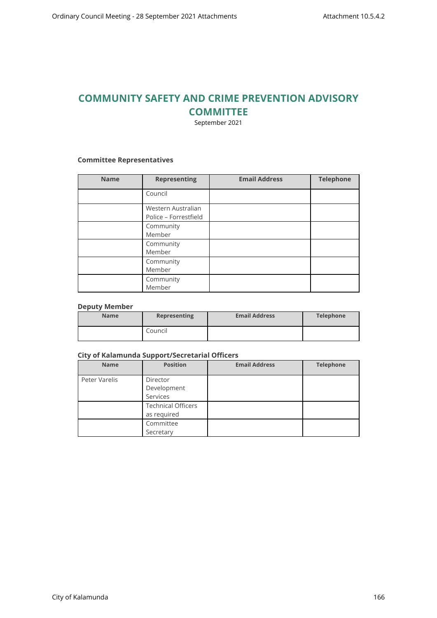# **COMMUNITY SAFETY AND CRIME PREVENTION ADVISORY COMMITTEE**

September 2021

#### **Committee Representatives**

| <b>Name</b> | <b>Representing</b>                         | <b>Email Address</b> | <b>Telephone</b> |
|-------------|---------------------------------------------|----------------------|------------------|
|             | Council                                     |                      |                  |
|             | Western Australian<br>Police - Forrestfield |                      |                  |
|             | Community<br>Member                         |                      |                  |
|             | Community<br>Member                         |                      |                  |
|             | Community<br>Member                         |                      |                  |
|             | Community<br>Member                         |                      |                  |

#### **Deputy Member**

| <b>Name</b> | Representing | <b>Email Address</b> | Telephone |
|-------------|--------------|----------------------|-----------|
|             | Council      |                      |           |

#### **City of Kalamunda Support/Secretarial Officers**

| <b>Name</b>   | <b>Position</b>                          | <b>Email Address</b> | <b>Telephone</b> |
|---------------|------------------------------------------|----------------------|------------------|
| Peter Varelis | Director<br>Development<br>Services      |                      |                  |
|               | <b>Technical Officers</b><br>as required |                      |                  |
|               | Committee<br>Secretary                   |                      |                  |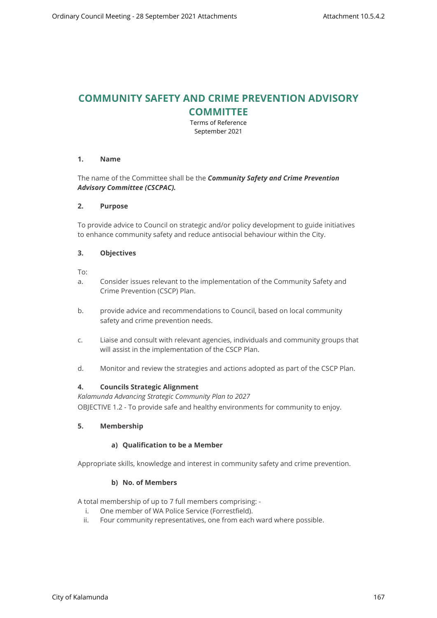# **COMMUNITY SAFETY AND CRIME PREVENTION ADVISORY COMMITTEE**

Terms of Reference September 2021

# **1. Name**

# The name of the Committee shall be the *Community Safety and Crime Prevention Advisory Committee (CSCPAC).*

# **2. Purpose**

To provide advice to Council on strategic and/or policy development to guide initiatives to enhance community safety and reduce antisocial behaviour within the City.

# **3. Objectives**

To:

- a. Consider issues relevant to the implementation of the Community Safety and Crime Prevention (CSCP) Plan.
- b. provide advice and recommendations to Council, based on local community safety and crime prevention needs.
- c. Liaise and consult with relevant agencies, individuals and community groups that will assist in the implementation of the CSCP Plan.
- d. Monitor and review the strategies and actions adopted as part of the CSCP Plan.

# **4. Councils Strategic Alignment**

*Kalamunda Advancing Strategic Community Plan to 2027*  OBJECTIVE 1.2 - To provide safe and healthy environments for community to enjoy.

# **5. Membership**

# **a) Qualification to be a Member**

Appropriate skills, knowledge and interest in community safety and crime prevention.

# **b) No. of Members**

A total membership of up to 7 full members comprising: -

- i. One member of WA Police Service (Forrestfield).
- ii. Four community representatives, one from each ward where possible.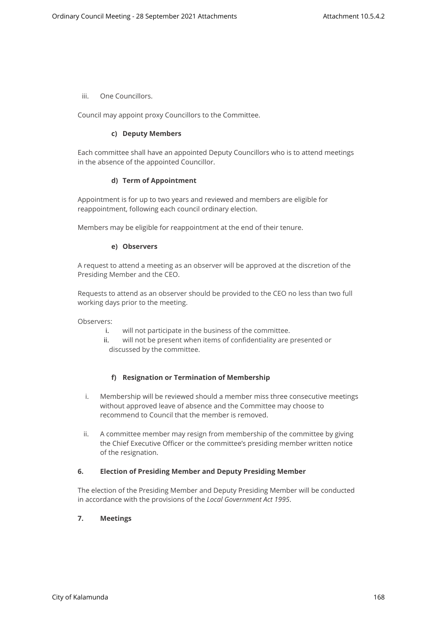iii. One Councillors.

Council may appoint proxy Councillors to the Committee.

# **c) Deputy Members**

Each committee shall have an appointed Deputy Councillors who is to attend meetings in the absence of the appointed Councillor.

# **d) Term of Appointment**

Appointment is for up to two years and reviewed and members are eligible for reappointment, following each council ordinary election.

Members may be eligible for reappointment at the end of their tenure.

# **e) Observers**

A request to attend a meeting as an observer will be approved at the discretion of the Presiding Member and the CEO.

Requests to attend as an observer should be provided to the CEO no less than two full working days prior to the meeting.

Observers:

- i. will not participate in the business of the committee.
- ii. will not be present when items of confidentiality are presented or discussed by the committee.

# **f) Resignation or Termination of Membership**

- i. Membership will be reviewed should a member miss three consecutive meetings without approved leave of absence and the Committee may choose to recommend to Council that the member is removed.
- ii. A committee member may resign from membership of the committee by giving the Chief Executive Officer or the committee's presiding member written notice of the resignation.

# **6. Election of Presiding Member and Deputy Presiding Member**

The election of the Presiding Member and Deputy Presiding Member will be conducted in accordance with the provisions of the *Local Government Act 1995*.

# **7. Meetings**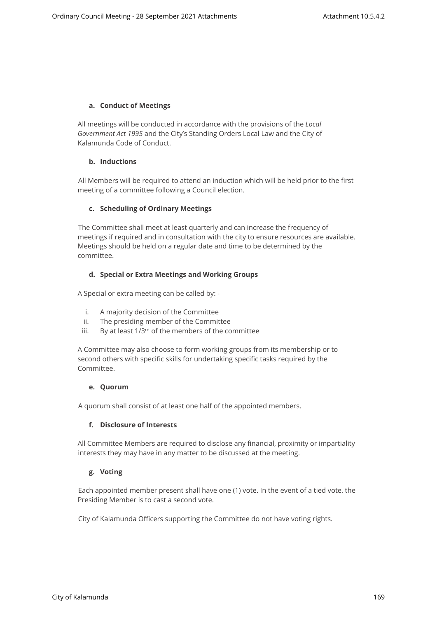#### **a. Conduct of Meetings**

All meetings will be conducted in accordance with the provisions of the *Local Government Act 1995* and the City's Standing Orders Local Law and the City of Kalamunda Code of Conduct.

# **b. Inductions**

All Members will be required to attend an induction which will be held prior to the first meeting of a committee following a Council election.

#### **c. Scheduling of Ordinary Meetings**

The Committee shall meet at least quarterly and can increase the frequency of meetings if required and in consultation with the city to ensure resources are available. Meetings should be held on a regular date and time to be determined by the committee.

#### **d. Special or Extra Meetings and Working Groups**

A Special or extra meeting can be called by: -

- i. A majority decision of the Committee
- ii. The presiding member of the Committee
- iii. By at least 1/3<sup>rd</sup> of the members of the committee

A Committee may also choose to form working groups from its membership or to second others with specific skills for undertaking specific tasks required by the Committee.

# **e. Quorum**

A quorum shall consist of at least one half of the appointed members.

# **f. Disclosure of Interests**

All Committee Members are required to disclose any financial, proximity or impartiality interests they may have in any matter to be discussed at the meeting.

# **g. Voting**

Each appointed member present shall have one (1) vote. In the event of a tied vote, the Presiding Member is to cast a second vote.

City of Kalamunda Officers supporting the Committee do not have voting rights.